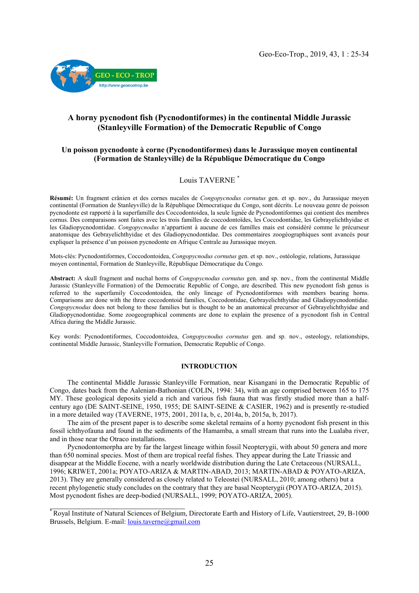

# A horny pycnodont fish (Pycnodontiformes) in the continental Middle Jurassic (Stanleyville Formation) of the Democratic Republic of Congo

## Un poisson pycnodonte à corne (Pycnodontiformes) dans le Jurassique moyen continental (Formation de Stanleyville) de la République Démocratique du Congo

## Louis TAVERNE \*

Résumé: Un fragment crânien et des cornes nucales de *Congopycnodus cornutus* gen. et sp. nov., du Jurassique moyen continental (Formation de Stanleyville) de la République Démocratique du Congo, sont décrits. Le nouveau genre de poisson pycnodonte est rapporté à la superfamille des Coccodontoidea, la seule lignée de Pycnodontiformes qui contient des membres cornus. Des comparaisons sont faites avec les trois familles de coccodontoïdes, les Coccodontidae, les Gebrayelichthyidae et les Gladiopycnodontidae. *Congopycnodus* n'appartient à aucune de ces familles mais est considéré comme le précurseur anatomique des Gebrayelichthyidae et des Gladiopycnodontidae. Des commentaires zoogéographiques sont avancés pour expliquer la présence d'un poisson pycnodonte en Afrique Centrale au Jurassique moyen.

Mots-clés: Pycnodontiformes, Coccodontoidea, *Congopycnodus cornutus* gen. et sp. nov., ostéologie, relations, Jurassique moyen continental, Formation de Stanleyville, République Démocratique du Congo.

Abstract: A skull fragment and nuchal horns of *Congopycnodus cornutus* gen. and sp. nov., from the continental Middle Jurassic (Stanleyville Formation) of the Democratic Republic of Congo, are described. This new pycnodont fish genus is referred to the superfamily Coccodontoidea, the only lineage of Pycnodontiformes with members bearing horns. Comparisons are done with the three coccodontoid families, Coccodontidae, Gebrayelichthyidae and Gladiopycnodontidae. *Congopycnodus* does not belong to these families but is thought to be an anatomical precursor of Gebrayelichthyidae and Gladiopycnodontidae. Some zoogeographical comments are done to explain the presence of a pycnodont fish in Central Africa during the Middle Jurassic.

Key words: Pycnodontiformes, Coccodontoidea, *Congopycnodus cornutus* gen. and sp. nov., osteology, relationships, continental Middle Jurassic, Stanleyville Formation, Democratic Republic of Congo.

### INTRODUCTION

 The continental Middle Jurassic Stanleyville Formation, near Kisangani in the Democratic Republic of Congo, dates back from the Aalenian-Bathonian (COLIN, 1994: 34), with an age comprised between 165 to 175 MY. These geological deposits yield a rich and various fish fauna that was firstly studied more than a halfcentury ago (DE SAINT-SEINE, 1950, 1955; DE SAINT-SEINE & CASIER, 1962) and is presently re-studied in a more detailed way (TAVERNE, 1975, 2001, 2011a, b, c, 2014a, b, 2015a, b, 2017).

 The aim of the present paper is to describe some skeletal remains of a horny pycnodont fish present in this fossil ichthyofauna and found in the sediments of the Hamamba, a small stream that runs into the Lualaba river, and in those near the Otraco installations.

 Pycnodontomorpha are by far the largest lineage within fossil Neopterygii, with about 50 genera and more than 650 nominal species. Most of them are tropical reefal fishes. They appear during the Late Triassic and disappear at the Middle Eocene, with a nearly worldwide distribution during the Late Cretaceous (NURSALL, 1996; KRIWET, 2001a; POYATO-ARIZA & MARTIN-ABAD, 2013; MARTIN-ABAD & POYATO-ARIZA, 2013). They are generally considered as closely related to Teleostei (NURSALL, 2010; among others) but a recent phylogenetic study concludes on the contrary that they are basal Neopterygii (POYATO-ARIZA, 2015). Most pycnodont fishes are deep-bodied (NURSALL, 1999; POYATO-ARIZA, 2005).

 $\mathcal{L}$  , which is a set of the set of the set of the set of the set of the set of the set of the set of the set of the set of the set of the set of the set of the set of the set of the set of the set of the set of the s

<sup>\*</sup> Royal Institute of Natural Sciences of Belgium, Directorate Earth and History of Life, Vautierstreet, 29, B-1000 Brussels, Belgium. E-mail: l[ouis.taverne@gmail.com](mailto:louis.taverne@gmail.com)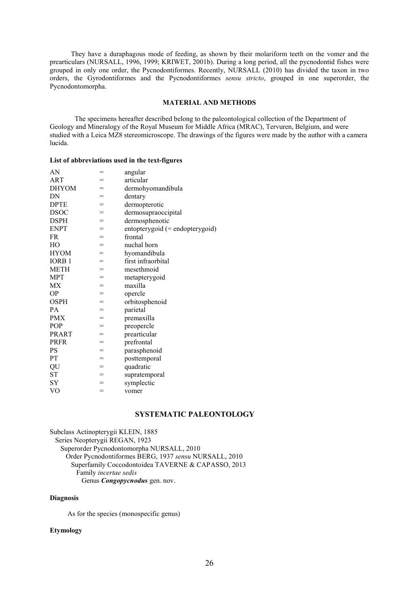They have a duraphagous mode of feeding, as shown by their molariform teeth on the vomer and the prearticulars (NURSALL, 1996, 1999; KRIWET, 2001b). During a long period, all the pycnodontid fishes were grouped in only one order, the Pycnodontiformes. Recently, NURSALL (2010) has divided the taxon in two orders, the Gyrodontiformes and the Pycnodontiformes *sensu stricto*, grouped in one superorder, the Pycnodontomorpha.

#### MATERIAL AND METHODS

The specimens hereafter described belong to the paleontological collection of the Department of Geology and Mineralogy of the Royal Museum for Middle Africa (MRAC), Tervuren, Belgium, and were studied with a Leica MZ8 stereomicroscope. The drawings of the figures were made by the author with a camera lucida.

## List of abbreviations used in the text-figures

| AN                | =   | angular                         |
|-------------------|-----|---------------------------------|
| ART               | =   | articular                       |
| <b>DHYOM</b>      | $=$ | dermohyomandibula               |
| DN                | $=$ | dentary                         |
| <b>DPTE</b>       | $=$ | dermopterotic                   |
| <b>DSOC</b>       | $=$ | dermosupraoccipital             |
| <b>DSPH</b>       | $=$ | dermosphenotic                  |
| <b>ENPT</b>       | $=$ | entopterygoid (= endopterygoid) |
| FR                | $=$ | frontal                         |
| HO                | $=$ | nuchal horn                     |
| <b>HYOM</b>       | $=$ | hyomandibula                    |
| IORB <sub>1</sub> | $=$ | first infraorbital              |
| <b>METH</b>       | $=$ | mesethmoid                      |
| <b>MPT</b>        | $=$ | metapterygoid                   |
| МX                | $=$ | maxilla                         |
| <b>OP</b>         | $=$ | opercle                         |
| <b>OSPH</b>       | $=$ | orbitosphenoid                  |
| PA                | $=$ | parietal                        |
| <b>PMX</b>        | $=$ | premaxilla                      |
| POP               | $=$ | preopercle                      |
| <b>PRART</b>      | =   | prearticular                    |
| <b>PRFR</b>       | $=$ | prefrontal                      |
| <b>PS</b>         | $=$ | parasphenoid                    |
| PT                | $=$ | posttemporal                    |
| QU                | $=$ | quadratic                       |
| <b>ST</b>         | $=$ | supratemporal                   |
| <b>SY</b>         | =   | symplectic                      |
| VO                | =   | vomer                           |

## SYSTEMATIC PALEONTOLOGY

Subclass Actinopterygii KLEIN, 1885 Series Neopterygii REGAN, 1923 Superorder Pycnodontomorpha NURSALL, 2010 Order Pycnodontiformes BERG, 1937 *sensu* NURSALL, 2010 Superfamily Coccodontoidea TAVERNE & CAPASSO, 2013 Family *incertae sedis* Genus *Congopycnodus* gen. nov.

## Diagnosis

As for the species (monospecific genus)

## Etymology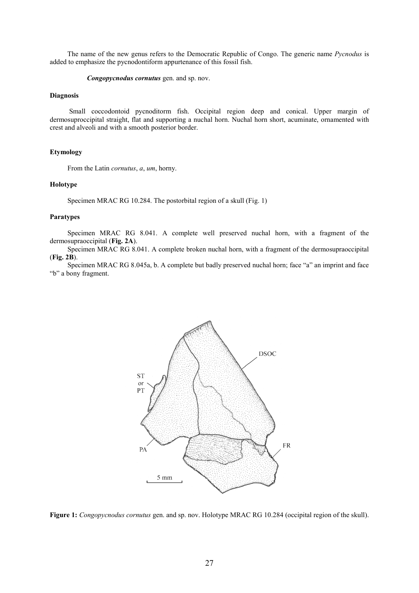The name of the new genus refers to the Democratic Republic of Congo. The generic name *Pycnodus* is added to emphasize the pycnodontiform appurtenance of this fossil fish.

*Congopycnodus cornutus* gen. and sp. nov.

## Diagnosis

 Small coccodontoid pycnoditorm fish. Occipital region deep and conical. Upper margin of dermosuproccipital straight, flat and supporting a nuchal horn. Nuchal horn short, acuminate, ornamented with crest and alveoli and with a smooth posterior border.

## Etymology

From the Latin *cornutus*, *a*, *um*, horny.

## Holotype

Specimen MRAC RG 10.284. The postorbital region of a skull (Fig. 1)

#### Paratypes

 Specimen MRAC RG 8.041. A complete well preserved nuchal horn, with a fragment of the dermosupraoccipital (Fig. 2A).

 Specimen MRAC RG 8.041. A complete broken nuchal horn, with a fragment of the dermosupraoccipital (Fig. 2B).

 Specimen MRAC RG 8.045a, b. A complete but badly preserved nuchal horn; face "a" an imprint and face "b" a bony fragment.



Figure 1: *Congopycnodus cornutus* gen. and sp. nov. Holotype MRAC RG 10.284 (occipital region of the skull).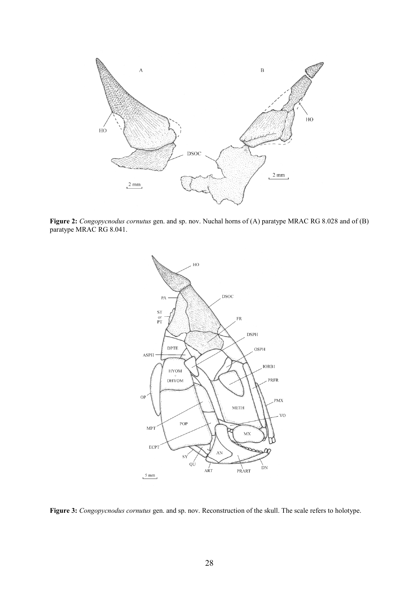

Figure 2: *Congopycnodus cornutus* gen. and sp. nov. Nuchal horns of (A) paratype MRAC RG 8.028 and of (B) paratype MRAC RG 8.041.



Figure 3: *Congopycnodus cornutus* gen. and sp. nov. Reconstruction of the skull. The scale refers to holotype.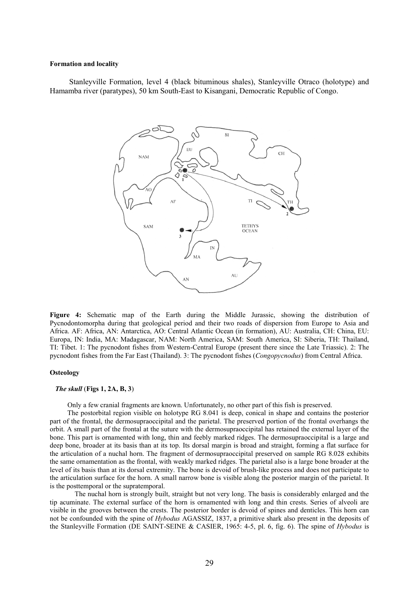#### Formation and locality

 Stanleyville Formation, level 4 (black bituminous shales), Stanleyville Otraco (holotype) and Hamamba river (paratypes), 50 km South-East to Kisangani, Democratic Republic of Congo.



Figure 4: Schematic map of the Earth during the Middle Jurassic, showing the distribution of Pycnodontomorpha during that geological period and their two roads of dispersion from Europe to Asia and Africa. AF: Africa, AN: Antarctica, AO: Central Atlantic Ocean (in formation), AU: Australia, CH: China, EU: Europa, IN: India, MA: Madagascar, NAM: North America, SAM: South America, SI: Siberia, TH: Thailand, TI: Tibet. 1: The pycnodont fishes from Western-Central Europe (present there since the Late Triassic). 2: The pycnodont fishes from the Far East (Thailand). 3: The pycnodont fishes (*Congopycnodus*) from Central Africa.

#### **Osteology**

## *The skull* (Figs 1, 2A, B, 3)

Only a few cranial fragments are known. Unfortunately, no other part of this fish is preserved.

 The postorbital region visible on holotype RG 8.041 is deep, conical in shape and contains the posterior part of the frontal, the dermosupraoccipital and the parietal. The preserved portion of the frontal overhangs the orbit. A small part of the frontal at the suture with the dermosupraoccipital has retained the external layer of the bone. This part is ornamented with long, thin and feebly marked ridges. The dermosupraoccipital is a large and deep bone, broader at its basis than at its top. Its dorsal margin is broad and straight, forming a flat surface for the articulation of a nuchal horn. The fragment of dermosupraoccipital preserved on sample RG 8.028 exhibits the same ornamentation as the frontal, with weakly marked ridges. The parietal also is a large bone broader at the level of its basis than at its dorsal extremity. The bone is devoid of brush-like process and does not participate to the articulation surface for the horn. A small narrow bone is visible along the posterior margin of the parietal. It is the posttemporal or the supratemporal.

The nuchal horn is strongly built, straight but not very long. The basis is considerably enlarged and the tip acuminate. The external surface of the horn is ornamented with long and thin crests. Series of alveoli are visible in the grooves between the crests. The posterior border is devoid of spines and denticles. This horn can not be confounded with the spine of *Hybodus* AGASSIZ, 1837, a primitive shark also present in the deposits of the Stanleyville Formation (DE SAINT-SEINE & CASIER, 1965: 4-5, pl. 6, fig. 6). The spine of *Hybodus* is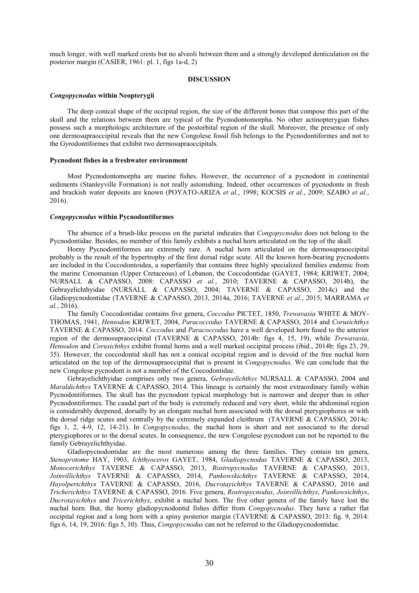much longer, with well marked crests but no alveoli between them and a strongly developed denticulation on the posterior margin (CASIER, 1961: pl. 1, figs 1a-d, 2)

#### DISCUSSION

#### *Congopycnodus* within Neopterygii

 The deep conical shape of the occipital region, the size of the different bones that compose this part of the skull and the relations between them are typical of the Pycnodontomorpha. No other actinopterygian fishes possess such a morphologic architecture of the postorbital region of the skull. Moreover, the presence of only one dermosupraoccipital reveals that the new Congolese fossil fish belongs to the Pycnodontiformes and not to the Gyrodontiformes that exhibit two dermosupraoccipitals.

## Pycnodont fishes in a freshwater environment

 Most Pycnodontomorpha are marine fishes. However, the occurrence of a pycnodont in continental sediments (Stanleyville Formation) is not really astonishing. Indeed, other occurrences of pycnodonts in fresh and brackish water deposits are known (POYATO-ARIZA *et al.*, 1998; KOCSIS *et al.*, 2009; SZABO *et al.*, 2016).

#### *Congopycnodus* within Pycnodontiformes

 The absence of a brush-like process on the parietal indicates that *Congopycnodus* does not belong to the Pycnodontidae. Besides, no member of this family exhibits a nuchal horn articulated on the top of the skull.

 Horny Pycnodontiformes are extremely rare. A nuchal horn articulated on the dermosupraoccipital probably is the result of the hypertrophy of the first dorsal ridge scute. All the known horn-bearing pycnodonts are included in the Coccodontoidea, a superfamily that contains three highly specialized families endemic from the marine Cenomanian (Upper Cretaceous) of Lebanon, the Coccodontidae (GAYET, 1984; KRIWET, 2004; NURSALL & CAPASSO, 2008: CAPASSO *et al.*, 2010; TAVERNE & CAPASSO, 2014b), the Gebrayelichthyidae (NURSALL & CAPASSO, 2004; TAVERNE & CAPASSO, 2014c) and the Gladiopycnodontidae (TAVERNE & CAPASSO, 2013, 2014a, 2016; TAVERNE *et al.*, 2015; MARRAMA *et al.*, 2016).

 The family Coccodontidae contains five genera, *Coccodus* PICTET, 1850, *Trewavasia* WHITE & MOY-THOMAS, 1941, *Hensodon* KRIWET, 2004, *Paracoccodus* TAVERNE & CAPASSO, 2014 and *Corusichthys*  TAVERNE & CAPASSO, 2014. *Coccodus* and *Paracoccodus* have a well developed horn fused to the anterior region of the dermosupraoccipital (TAVERNE & CAPASSO, 2014b: figs 4, 15, 19), while *Trewavasia*, *Hensodon* and *Corusichthys* exhibit frontal horns and a well marked occipital process (ibid., 2014b: figs 23, 29, 35). However, the coccodontid skull has not a conical occipital region and is devoid of the free nuchal horn articulated on the top of the dermosupraoccipital that is present in *Congopycnodus*. We can conclude that the new Congolese pycnodont is not a member of the Coccodontidae.

 Gebrayelichthyidae comprises only two genera, *Gebrayelichthys* NURSALL & CAPASSO, 2004 and *Maraldichthys* TAVERNE & CAPASSO, 2014. This lineage is certainly the most extraordinary family within Pycnodontiformes. The skull has the pycnodont typical morphology but is narrower and deeper than in other Pycnodontiformes. The caudal part of the body is extremely reduced and very short, while the abdominal region is considerably deepened, dorsally by an elongate nuchal horn associated with the dorsal pterygiophores or with the dorsal ridge scutes and ventrally by the extremely expanded cleithrum (TAVERNE & CAPASSO, 2014c: figs 1, 2, 4-9, 12, 14-21). In *Congopycnodus*, the nuchal horn is short and not associated to the dorsal pterygiophores or to the dorsal scutes. In consequence, the new Congolese pycnodont can not be reported to the family Gebrayelichthyidae.

 Gladiopycnodontidae are the most numerous among the three families. They contain ten genera, *Stenoprotome* HAY, 1903, *Ichthyoceros* GAYET, 1984, *Gladiopycnodus* TAVERNE & CAPASSO, 2013, *Monocerichthys* TAVERNE & CAPASSO, 2013, *Rostropycnodus* TAVERNE & CAPASSO, 2013, *Joinvillichthys* TAVERNE & CAPASSO, 2014, *Pankowskichthys* TAVERNE & CAPASSO, 2014, *Hayolperichthys* TAVERNE & CAPASSO, 2016, *Ducrotayichthys* TAVERNE & CAPASSO, 2016 and *Tricherichthys* TAVERNE & CAPASSO, 2016. Five genera, *Rostropycnodus*, *Joinvillichthys*, *Pankowsichthys*, *Ducrotayichthys* and *Tricerichthys*, exhibit a nuchal horn. The five other genera of the family have lost the nuchal horn. But, the horny gladiopycnodontid fishes differ from *Congopycnodus*. They have a rather flat occipital region and a long horn with a spiny posterior margin (TAVERNE & CAPASSO, 2013: fig. 9, 2014: figs 6, 14, 19, 2016: figs 5, 10). Thus, *Congopycnodus* can not be referred to the Gladiopycnodontidae.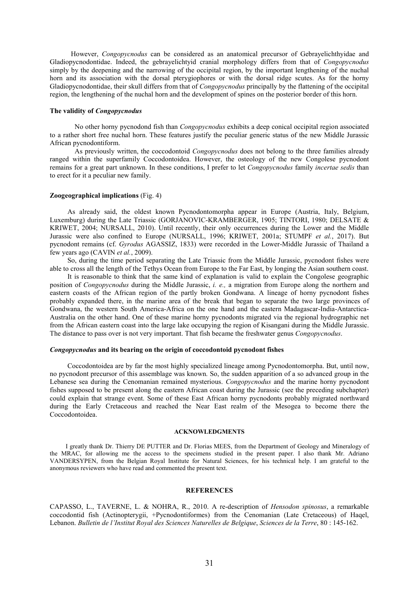However, *Congopycnodus* can be considered as an anatomical precursor of Gebrayelichthyidae and Gladiopycnodontidae. Indeed, the gebrayelichtyid cranial morphology differs from that of *Congopycnodus* simply by the deepening and the narrowing of the occipital region, by the important lengthening of the nuchal horn and its association with the dorsal pterygiophores or with the dorsal ridge scutes. As for the horny Gladiopycnodontidae, their skull differs from that of *Congopycnodus* principally by the flattening of the occipital region, the lengthening of the nuchal horn and the development of spines on the posterior border of this horn.

#### The validity of *Congopycnodus*

No other horny pycnodond fish than *Congopycnodus* exhibits a deep conical occipital region associated to a rather short free nuchal horn. These features justify the peculiar generic status of the new Middle Jurassic African pycnodontiform.

As previously written, the coccodontoid *Congopycnodus* does not belong to the three families already ranged within the superfamily Coccodontoidea. However, the osteology of the new Congolese pycnodont remains for a great part unknown. In these conditions, I prefer to let *Congopycnodus* family *incertae sedis* than to erect for it a peculiar new family.

## Zoogeographical implications (Fig. 4)

 As already said, the oldest known Pycnodontomorpha appear in Europe (Austria, Italy, Belgium, Luxemburg) during the Late Triassic (GORJANOVIC-KRAMBERGER, 1905; TINTORI, 1980; DELSATE & KRIWET, 2004; NURSALL, 2010). Until recently, their only occurrences during the Lower and the Middle Jurassic were also confined to Europe (NURSALL, 1996; KRIWET, 2001a; STUMPF *et al.*, 2017). But pycnodont remains (cf. *Gyrodus* AGASSIZ, 1833) were recorded in the Lower-Middle Jurassic of Thailand a few years ago (CAVIN *et al.*, 2009).

 So, during the time period separating the Late Triassic from the Middle Jurassic, pycnodont fishes were able to cross all the length of the Tethys Ocean from Europe to the Far East, by longing the Asian southern coast.

 It is reasonable to think that the same kind of explanation is valid to explain the Congolese geographic position of *Congopycnodus* during the Middle Jurassic, *i. e.,* a migration from Europe along the northern and eastern coasts of the African region of the partly broken Gondwana. A lineage of horny pycnodont fishes probably expanded there, in the marine area of the break that began to separate the two large provinces of Gondwana, the western South America-Africa on the one hand and the eastern Madagascar-India-Antarctica-Australia on the other hand. One of these marine horny pycnodonts migrated via the regional hydrographic net from the African eastern coast into the large lake occupying the region of Kisangani during the Middle Jurassic. The distance to pass over is not very important. That fish became the freshwater genus *Congopycnodus*.

## *Congopycnodus* and its bearing on the origin of coccodontoid pycnodont fishes

 Coccodontoidea are by far the most highly specialized lineage among Pycnodontomorpha. But, until now, no pycnodont precursor of this assemblage was known. So, the sudden apparition of a so advanced group in the Lebanese sea during the Cenomanian remained mysterious. *Congopycnodus* and the marine horny pycnodont fishes supposed to be present along the eastern African coast during the Jurassic (see the preceding subchapter) could explain that strange event. Some of these East African horny pycnodonts probably migrated northward during the Early Cretaceous and reached the Near East realm of the Mesogea to become there the Coccodontoidea.

#### ACKNOWLEDGMENTS

 I greatly thank Dr. Thierry DE PUTTER and Dr. Florias MEES, from the Department of Geology and Mineralogy of the MRAC, for allowing me the access to the specimens studied in the present paper. I also thank Mr. Adriano VANDERSYPEN, from the Belgian Royal Institute for Natural Sciences, for his technical help. I am grateful to the anonymous reviewers who have read and commented the present text.

## **REFERENCES**

CAPASSO, L., TAVERNE, L. & NOHRA, R., 2010. A re-description of *Hensodon spinosus*, a remarkable coccodontid fish (Actinopterygii, +Pycnodontiformes) from the Cenomanian (Late Cretaceous) of Haqel, Lebanon. *Bulletin de l'Institut Royal des Sciences Naturelles de Belgique*, *Sciences de la Terre*, 80 : 145-162.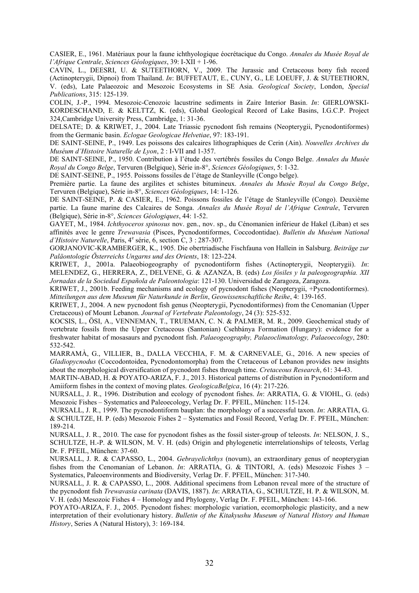CASIER, E., 1961. Matériaux pour la faune ichthyologique éocrétacique du Congo. *Annales du Musée Royal de l'Afrique Centrale*, *Sciences Géologiques*, 39: I-XII + 1-96.

CAVIN, L., DEESRI, U. & SUTEETHORN, V., 2009. The Jurassic and Cretaceous bony fish record (Actinopterygii, Dipnoi) from Thailand. *In*: BUFFETAUT, E., CUNY, G., LE LOEUFF, J. & SUTEETHORN, V. (eds), Late Palaeozoic and Mesozoic Ecosystems in SE Asia. *Geological Society*, London, *Special Publications*, 315: 125-139.

COLIN, J.-P., 1994. Mesozoic-Cenozoic lacustrine sediments in Zaire Interior Basin. *In*: GIERLOWSKI-KORDESCHAND, E. & KELTTZ, K. (eds), Global Geological Record of Lake Basins, I.G.C.P. Project 324,Cambridge University Press, Cambridge, 1: 31-36.

DELSATE; D. & KRIWET, J., 2004. Late Triassic pycnodont fish remains (Neopterygii, Pycnodontiformes) from the Germanic basin. *Eclogae Geologicae Helvetiae*, 97: 183-191.

DE SAINT-SEINE, P., 1949. Les poissons des calcaires lithographiques de Cerin (Ain). *Nouvelles Archives du Muséum d'Histoire Naturelle de Lyon*, 2 : I-VII and 1-357.

DE SAINT-SEINE, P., 1950. Contribution à l'étude des vertébrés fossiles du Congo Belge. *Annales du Musée Royal du Congo Belge*, Tervuren (Belgique), Série in-8°, *Sciences Géologiques*, 5: 1-32.

DE SAINT-SEINE, P., 1955. Poissons fossiles de l'étage de Stanleyville (Congo belge).

Première partie. La faune des argilites et schistes bitumineux. *Annales du Musée Royal du Congo Belge*, Tervuren (Belgique), Série in-8°, *Sciences Géologiques*, 14: 1-126.

DE SAINT-SEINE, P. & CASIER, E., 1962. Poissons fossiles de l'étage de Stanleyville (Congo). Deuxième partie. La faune marine des Calcaires de Songa. *Annales du Musée Royal de l'Afrique Centrale*, Tervuren (Belgique), Série in-8°, *Sciences Géologiques*, 44: 1-52.

GAYET, M., 1984. *Ichthyoceros spinosus* nov. gen., nov. sp., du Cénomanien inférieur de Hakel (Liban) et ses affinités avec le genre *Trewavasia* (Pisces, Pycnodontiformes, Coccodontidae). *Bulletin du Muséum National d'Histoire Naturelle*, Paris, 4<sup>e</sup> série, 6, section C, 3 : 287-307.

GORJANOVIC-KRAMBERGER, K., 1905. Die obertriadische Fischfauna von Hallein in Salsburg. *Beiträge zur Paläontologie Österreichs Ungarns und des Orients*, 18: 123-224.

KRIWET, J., 2001a. Palaeobiogeography of pycnodontiform fishes (Actinopterygii, Neopterygii). *In*: MELENDEZ, G., HERRERA, Z., DELVENE, G. & AZANZA, B. (eds) *Los fósiles y la paleogeographia. XII Jornadas de la Sociedad Española de Paleontologia*: 121-130. Universidad de Zaragoza, Zaragoza.

KRIWET, J., 2001b. Feeding mechanisms and ecology of pycnodont fishes (Neopterygii, +Pycnodontiformes). *Mitteilungen aus dem Museum für Naturkunde in Berlin*, *Geowissenschaftliche Reihe*, 4: 139-165.

KRIWET, J., 2004. A new pycnodont fish genus (Neopterygii, Pycnodontiformes) from the Cenomanian (Upper Cretaceous) of Mount Lebanon. *Journal of Vertebrate Paleontology*, 24 (3): 525-532.

KOCSIS, L., ÖSI, A., VENNEMAN, T., TRUEMAN, C. N. & PALMER, M. R., 2009. Geochemical study of vertebrate fossils from the Upper Cretaceous (Santonian) Csehbánya Formation (Hungary): evidence for a freshwater habitat of mosasaurs and pycnodont fish. *Palaeogeography, Palaeoclimatology, Palaeoecology*, 280: 532-542.

MARRAMÀ, G., VILLIER, B., DALLA VECCHIA, F. M. & CARNEVALE, G., 2016. A new species of *Gladiopycnodus* (Coccodontoidea, Pycnodontomorpha) from the Cretaceous of Lebanon provides new insights about the morphological diversification of pycnodont fishes through time. *Cretaceous Research*, 61: 34-43.

MARTIN-ABAD, H. & POYATO-ARIZA, F. J., 2013. Historical patterns of distribution in Pycnodontiform and Amiiform fishes in the context of moving plates. *GeologicaBelgica*, 16 (4): 217-226.

NURSALL, J. R., 1996. Distribution and ecology of pycnodont fishes. *In*: ARRATIA, G. & VIOHL, G. (eds) Mesozoic Fishes – Systematics and Paleoecology, Verlag Dr. F. PFEIL, München: 115-124.

NURSALL, J. R., 1999. The pycnodontiform bauplan: the morphology of a successful taxon. *In*: ARRATIA, G. & SCHULTZE, H. P. (eds) Mesozoic Fishes 2 – Systematics and Fossil Record, Verlag Dr. F. PFEIL, München: 189-214.

NURSALL, J. R., 2010. The case for pycnodont fishes as the fossil sister-group of teleosts. *In*: NELSON, J. S., SCHULTZE, H.-P. & WILSON, M. V. H. (eds) Origin and phylogenetic interrelationships of teleosts, Verlag Dr. F. PFEIL, München: 37-60.

NURSALL, J. R. & CAPASSO, L., 2004. *Gebrayelichthys* (novum), an extraordinary genus of neopterygian fishes from the Cenomanian of Lebanon. *In*: ARRATIA, G. & TINTORI, A. (eds) Mesozoic Fishes 3 – Systematics, Paleoenvironments and Biodiversity, Verlag Dr. F. PFEIL, München: 317-340.

NURSALL, J. R. & CAPASSO, L., 2008. Additional specimens from Lebanon reveal more of the structure of the pycnodont fish *Trewavasia carinata* (DAVIS, 1887). *In*: ARRATIA, G., SCHULTZE, H. P. & WILSON, M. V. H. (eds) Mesozoic Fishes 4 – Homology and Phylogeny, Verlag Dr. F. PFEIL, München: 143-166.

POYATO-ARIZA, F. J., 2005. Pycnodont fishes: morphologic variation, ecomorphologic plasticity, and a new interpretation of their evolutionary history. *Bulletin of the Kitakyushu Museum of Natural History and Human History*, Series A (Natural History), 3: 169-184.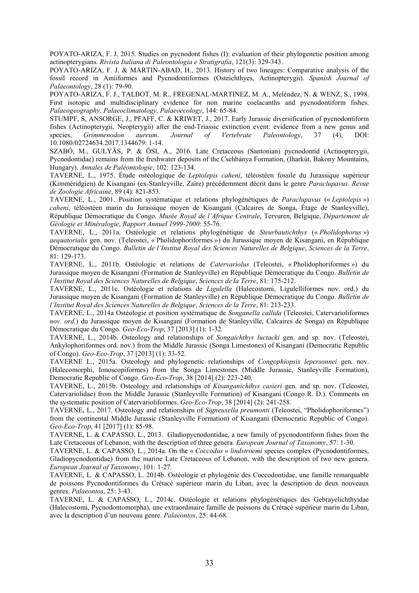POYATO-ARIZA, F. J. 2015. Studies on pycnodont fishes (I): evaluation of their phylogenetic position among actinopterygians. *Rivista Italiana di Paleontologia e Stratigrafia*, 121(3): 329-343.

POYATO-ARIZA, F. J. & MARTIN-ABAD, H., 2013. History of two lineages: Comparative analysis of the fossil record in Amiiformes and Pycnodontiformes (Osteichthyes, Actinopterygii). *Spanish Journal of Palaeontology*, 28 (1): 79-90.

POYATO-ARIZA, F. J., TALBOT, M. R., FREGENAL-MARTINEZ, M. A., Meléndez, N. & WENZ, S., 1998. First isotopic and multidisciplinary evidence for non marine coelacanths and pycnodontiform fishes. *Palaeogeography, Palaeoclimatology, Palaeoecology*, 144: 65-84.

STUMPF, S, ANSORGE, J., PFAFF, C. & KRIWET, J., 2017. Early Jurassic diversification of pycnodontiform fishes (Actinopterygii, Neopterygii) after the end-Triassic extinction event: evidence from a new genus and species, Grimmenodon aureum. Journal of Vertebrate Paleontology, 37 (4), DOI: species, *Grimmenodon aureum*. *Journal of Vertebrate Paleontology*, 37 (4), DOI: 10.1080/02724634.2017.1344679: 1-14.

SZABÓ, M., GULYÃS, P. & ÖSI, A., 2016. Late Cretaceous (Santonian) pycnodontid (Actinopterygii, Pycnodontidae) remains from the freshwater deposits of the Csehbánya Formation, (Iharkút, Bakony Mountains, Hungary). *Annales de Paléontologie*, 102: 123-134.

TAVERNE, L., 1975. Étude ostéologique de *Leptolepis caheni*, téléostéen fossile du Jurassique supérieur (Kimméridgien) de Kisangani (ex-Stanleyville, Zaïre) précédemment décrit dans le genre *Paraclupavus*. *Revue de Zoologie Africaine*, 89 (4): 821-853.

TAVERNE, L., 2001. Position systématique et relations phylogénétiques de *Paraclupavus* (« *Leptolepis* ») *caheni*, téléostéen marin du Jurassique moyen de Kisangani (Calcaires de Songa, Étage de Stanleyville), République Démocratique du Congo. *Musée Royal de l'Afrique Centrale*, Tervuren, Belgique, *Département de Géologie et Minéralogie*, *Rapport Annuel 1999-2000*: 55-76.

TAVERNE, L., 2011a. Ostéologie et relations phylogénétique de *Steurbautichthys* (« *Pholidophorus* ») *aequatorialis* gen. nov. (Teleostei, « Pholidophoriformes ») du Jurassique moyen de Kisangani, en République Démocratique du Congo. *Bulletin de l'Institut Royal des Sciences Naturelles de Belgique*, *Sciences de la Terre*, 81: 129-173.

TAVERNE, L., 2011b. Ostéologie et relations de *Catervariolus* (Teleostei, « Pholidophoriformes ») du Jurassique moyen de Kisangani (Formation de Stanleyville) en République Démocratique du Congo. *Bulletin de l'Institut Royal des Sciences Naturelles de Belgique*, *Sciences de la Terre*, 81: 175-212.

TAVERNE, L., 2011c. Ostéologie et relations de *Ligulella* (Halecostomi, Ligulelliformes nov. ord.) du Jurassique moyen de Kisangani (Formation de Stanleyville) en République Démocratique du Congo. *Bulletin de l'Institut Royal des Sciences Naturelles de Belgique*, *Sciences de la Terre*, 81: 213-233.

TAVERNE, L., 2014a Ostéologie et position systématique de *Songanella callida* (Teleostei, Catervarioliformes *nov. ord.*) du Jurassique moyen de Kisangani (Formation de Stanleyville, Calcaires de Songa) en République Démocratique du Congo. *Geo-Eco-Trop*, 37 [2013] (1): 1-32*.*

TAVERNE, L., 2014b. Osteology and relationships of *Songaichthys luctacki* gen. and sp. nov. (Teleostei, Ankylophoriformes ord. nov.) from the Middle Jurassic (Songa Limestones) of Kisangani (Democratic Republic of Congo). *Geo-Eco-Trop*, 37 [2013] (1): 33-52.

TAVERNE L., 2015a. Osteology and phylogenetic relationships of *Congophiopsis lepersonnei* gen. nov. (Halecomorphi, Ionoscopiformes) from the Songa Limestones (Middle Jurassic, Stanleyville Formation), Democratic Republic of Congo. *Geo-Eco-Trop*, 38 [2014] (2): 223-240.

TAVERNE, L., 2015b. Osteology and relationships of *Kisanganichthys casieri* gen. and sp. nov. (Teleostei, Catervariolidae) from the Middle Jurassic (Stanleyville Formation) of Kisangani (Congo R. D.). Comments on the systematic position of Catervarioliformes. *Geo-Eco-Trop*, 38 [2014] (2): 241-258.

TAVERNE, L., 2017. Osteology and relationships of *Signeuxella preumonti* (Teleostei, "Pholidophoriformes") from the continental Middle Jurassic (Stanleyville Formation) of Kisangani (Democratic Republic of Congo). *Geo-Eco-Trop*, 41 [2017] (1): 85-98.

TAVERNE, L. & CAPASSO, L., 2013. Gladiopycnodontidae, a new family of pycnodontiform fishes from the Late Cretaceous of Lebanon, with the description of three genera. *European Journal of Taxonomy*, 57: 1-30.

TAVERNE, L. & CAPASSO, L., 2014a. On the « *Coccodus* » *lindstroemi* species complex (Pycnodontiformes, Gladiopycnodontidae) from the marine Late Cretaceous of Lebanon, with the description of two new genera. *European Journal of Taxonomy*, 101: 1-27.

TAVERNE, L. & CAPASSO, L. 2014b. Ostéologie et phylogénie des Coccodontidae, une famille remarquable de poissons Pycnodontiformes du Crétacé supérieur marin du Liban, avec la description de deux nouveaux genres. *Palaeontos*, 25: 3-43.

TAVERNE, L. & CAPASSO, L., 2014c. Ostéologie et relations phylogénétiques des Gebrayelichthyidae (Halecostomi, Pycnodontomorpha), une extraordinaire famille de poissons du Crétacé supérieur marin du Liban, avec la description d'un nouveau genre. *Palaeontos*, 25: 44-68.